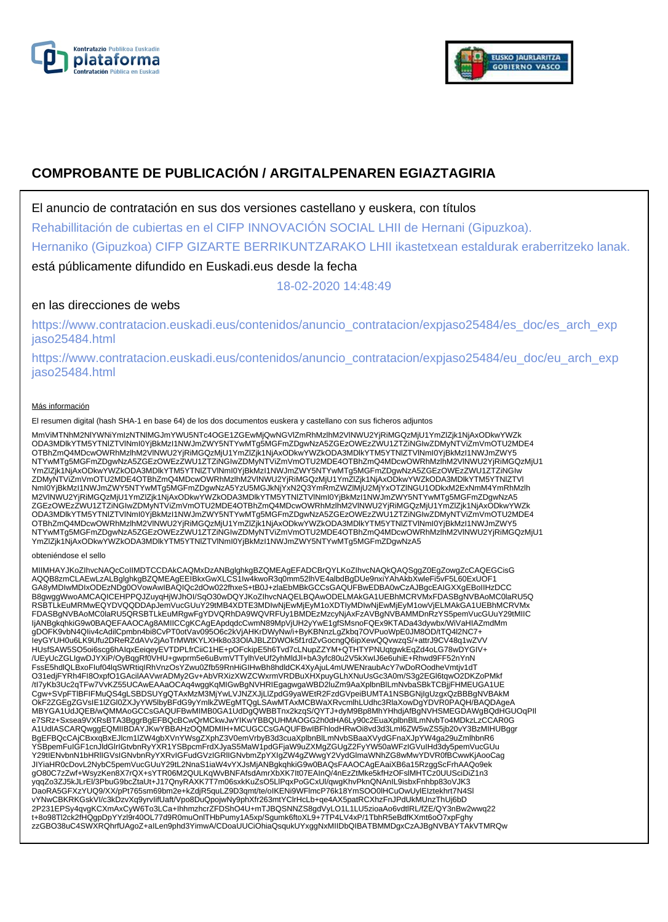



# **COMPROBANTE DE PUBLICACIÓN / ARGITALPENAREN EGIAZTAGIRIA**

El anuncio de contratación en sus dos versiones castellano y euskera, con títulos

Rehabillitación de cubiertas en el CIFP INNOVACIÓN SOCIAL LHII de Hernani (Gipuzkoa).

Hernaniko (Gipuzkoa) CIFP GIZARTE BERRIKUNTZARAKO LHII ikastetxean estaldurak eraberritzeko lanak.

está públicamente difundido en Euskadi.eus desde la fecha

18-02-2020 14:48:49

## en las direcciones de webs

https://www.contratacion.euskadi.eus/contenidos/anuncio\_contratacion/expjaso25484/es\_doc/es\_arch\_exp jaso25484.html

https://www.contratacion.euskadi.eus/contenidos/anuncio\_contratacion/expjaso25484/eu\_doc/eu\_arch\_exp jaso25484.html

### Más información

El resumen digital (hash SHA-1 en base 64) de los dos documentos euskera y castellano con sus ficheros adjuntos

MmViMTNhM2NlYWNiYmIzNTNlMGJmYWU5NTc4OGE1ZGEwMjQwNGVlZmRhMzlhM2VlNWU2YjRiMGQzMjU1YmZlZjk1NjAxODkwYWZk ODA3MDlkYTM5YTNlZTVlNmI0YjBkMzI1NWJmZWY5NTYwMTg5MGFmZDgwNzA5ZGEzOWEzZWU1ZTZiNGIwZDMyNTViZmVmOTU2MDE4 OTBhZmQ4MDcwOWRhMzlhM2VlNWU2YjRiMGQzMjU1YmZlZjk1NjAxODkwYWZkODA3MDlkYTM5YTNlZTVlNml0YjBkMzI1NWJmZWY5<br>NTYwMTg5MGFmZDgwNzA5ZGEzOWEzZWU1ZTZiNGIwZDMyNTViZmVmOTU2MDE4OTBhZmQ4MDcwOWRhMzlhM2VlNWU2YjRiMGQzMjU1 YmZlZjk1NjAxODkwYWZkODA3MDlkYTM5YTNlZTVlNmI0YjBkMzI1NWJmZWY5NTYwMTg5MGFmZDgwNzA5ZGEzOWEzZWU1ZTZiNGIw ZDMyNTViZmVmOTU2MDE4OTBhZmQ4MDcwOWRhMzlhM2VlNWU2YjRiMGQzMjU1YmZlZjk1NjAxODkwYWZkODA3MDlkYTM5YTNlZTVl NmI0YjBkMzI1NWJmZWY5NTYwMTg5MGFmZDgwNzA5YzU5MGJkNjYxN2Q3YmRmZWZlMjU2MjYxOTZlNGU1ODkxM2ExNmM4YmRhMzlh M2VlNWU2YjRiMGQzMjU1YmZlZjk1NjAxODkwYWZkODA3MDlkYTM5YTNlZTVlNmI0YjBkMzI1NWJmZWY5NTYwMTg5MGFmZDgwNzA5 ZGEzOWEzZWU1ZTZiNGIwZDMyNTViZmVmOTU2MDE4OTBhZmQ4MDcwOWRhMzlhM2VINWU2YjRiMGQzMjU1YmZlZjk1NjAxODkwYWZk<br>ODA3MDlkYTM5YTNIZTVINmI0YjBkMzI1NWJmZWY5NTYwMTg5MGFmZDgwNzA5ZGEzOWEzZWU1ZTZiNGIwZDMyNTViZmVmOTU2MDE4 OTBhZmQ4MDcwOWRhMzlhM2VlNWU2YjRiMGQzMjU1YmZlZjk1NjAxODkwYWZkODA3MDlkYTM5YTNlZTVlNml0YjBkMzI1NWJmZWY5<br>NTYwMTg5MGFmZDgwNzA5ZGEzOWEzZWU1ZTZiNGIwZDMyNTViZmVmOTU2MDE4OTBhZmQ4MDcwOWRhMzlhM2VlNWU2YjRiMGQzMjU1 YmZlZjk1NjAxODkwYWZkODA3MDlkYTM5YTNlZTVlNmI0YjBkMzI1NWJmZWY5NTYwMTg5MGFmZDgwNzA5

#### obteniéndose el sello

MIIMHAYJKoZIhvcNAQcCoIIMDTCCDAkCAQMxDzANBglghkgBZQMEAgEFADCBrQYLKoZIhvcNAQkQAQSggZ0EgZowgZcCAQEGCisG<br>AQQB8zmCLAEwLzALBglghkgBZQMEAgEEIBkxGwXLCS1Iw4kwoR3q0mm52lhVE4albdBgDUe9nxiYAhAkbXwleFi5vF5L60ExUOF1 GA8yMDIwMDIxODEzNDg0OVowAwIBAQIQc2dOw022fhxeS+tB0J+zlaEbMBkGCCsGAQUFBwEDBA0wCzAJBgcEAIGXXgEBoIIHzDCC B8gwggWwoAMCAQICEHPPQJZuyqHjWJhOI/SqO30wDQYJKoZIhvcNAQELBQAwODELMAkGA1UEBhMCRVMxFDASBgNVBAoMC0laRU5Q RSBTLkEuMRMwEQYDVQQDDApJemVucGUuY29tMB4XDTE3MDIwNjEwMjEyM1oXDTIyMDIwNjEwMjEyM1owVjELMAkGA1UEBhMCRVMx FDASBgNVBAoMC0laRU5QRSBTLkEuMRgwFgYDVQRhDA9WQVRFUy1BMDEzMzcyNjAxFzAVBgNVBAMMDnRzYS5pemVucGUuY29tMIIC ljANBgkqhkiG9w0BAQEFAAOCAg8AMIICCgKCAgEApdqdcCwmN89MpVjUH2yYwE1gfSMsnoFQEx9KTADa43dywbx/WiVaHIAZmdMm<br>gDOFK9vbN4Qliv4cAdilCpmbn4bi8CvPT0otVav095O6c2kVjAHKrDWyNw/i+ByKBNnzLgZkbq7OVPuoWpE0JM8OD/tTQ4I2NC7+<br>leyGYUH0u6LK9Ufu2DRe /UEyUcZGLIgwDJYXiP/OyBqgRf0VHU+gwprm5e6uBvmVTTylhVeUf2yhMldJl+bA3yfc80u2V5kXwIJ6e6uhiE+Rhwd9FF52nYnN<br>FssE5hdlQLBxoFluf04lqSWRtiqIRhVnzOsYZwu0Zfb59RnHiGIHwBh8hdldCK4XyAjuL4mUWENraubAcY7wDoROodheVmtjv1dT O31edjFYRh4FI8OxpfO1GAcilAAVwrADMy2Gv+AbVRXizXWZCWxrmVRDBuXHXpuyGLhXNuUsGc3A0m/S3g2EGl6tqwO2DKZoPMkf /tI7yKb3Uc2qTFw7VvKZ55UCAwEAAaOCAq4wggKqMIGwBgNVHRIEgagwgaWBD2luZm9AaXplbnBlLmNvbaSBkTCBjjFHMEUGA1UE Cgw+SVpFTIBFIFMuQS4gLSBDSUYgQTAxMzM3MjYwLVJNZXJjLIZpdG9yaWEtR2FzdGVpeiBUMTA1NSBGNjIgUzgxQzBBBgNVBAkM<br>OkF2ZGEgZGVsIE1IZGI0ZXJyYW5IbyBFdG9yYmlkZWEgMTQgLSAwMTAxMCBWaXRvcmlhLUdhc3RlaXowDgYDVR0PAQH/BAQDAgeA<br>MBYGA1UdJQEB/wQMMAoG A1UdIASCARQwggEQMIIBDAYJKwYBBAHzOQMDMIH+MCUGCCsGAQUFBwIBFhlodHRwOi8vd3d3Lml6ZW5wZS5jb20vY3BzMIHUBggr BgEFBQcCAjCBxxqBxEJlcm1lZW4gbXVnYWsgZXphZ3V0emVrbyB3d3cuaXplbnBlLmNvbSBaaXVydGFnaXJpYW4ga29uZmlhbnR6 YSBpemFuIGF1cnJldGlrIGtvbnRyYXR1YSBpcmFrdXJyaS5MaW1pdGFjaW9uZXMgZGUgZ2FyYW50aWFzIGVuIHd3dy5pemVucGUu Y29tIENvbnN1bHRlIGVsIGNvbnRyYXRvIGFudGVzIGRlIGNvbmZpYXIgZW4gZWwgY2VydGlmaWNhZG8wMwYDVR0fBCwwKjAooCag JIYiaHR0cDovL2NybC5pemVucGUuY29tL2NnaS1iaW4vYXJsMjANBgkqhkiG9w0BAQsFAAOCAgEAaiXB6a15RzggScFrhAAQo9ek<br>gO80C7zZwf+WsyzKen8X7rQX+sYTR06M2QULKqWvBNFAfsdAmrXbXK7lt07EAInQ/4nEzZtMke5kfHzOFslMHTCz0UUSciDiZ1n3 yqqZo3ZJ5kJLrEl/3PbuG9bcZtaUt+J17QnyRAXK7T7m06sxkKuZsO5LlPqxPoGCxUl/qwgKhvPknQNAnIL9isbxFnhbp83oVJK3<br>DaoRA5GFXzYUQ9/XX/pPt765sm69bm2e+kZdjR5quLZ9D3qmt/te/oIKENi9WFlmcP76k18YmSOO0lHCuOwUylEIztekhrt7N4Sl vYNwCBKRKGskVI/c3kDzvXq9yrvIifUaft/Vpo8DuQpojwNy9phXfr263mtYClrHcLb+qe4AX5patRCXhzFnJPdUkMUnzThUj6bD 2P231EPSy4qvgKCXmAxCyW6To3LCa+IhhmzhcrZFDShO4U+mTJBQSNNZS8gdVyLO1L1LU5zioaAo6vdtlRL/fZE/QY3nBw2wwq22 t+8o98Tl2ck2fHQgpDpYYzl9r40OL77d9R0muOnlTHbPumy1A5xp/Sgumk6ftoXL9+7TP4LV4xP/1TbhR5eBdfKXmt6oO7xpFghy zzGBO38uC4SWXRQhrfUAgoZ+aILen9phd3YimwA/CDoaUUCiOhiaQsqukUYxggNxMIIDbQIBATBMMDgxCzAJBgNVBAYTAkVTMRQw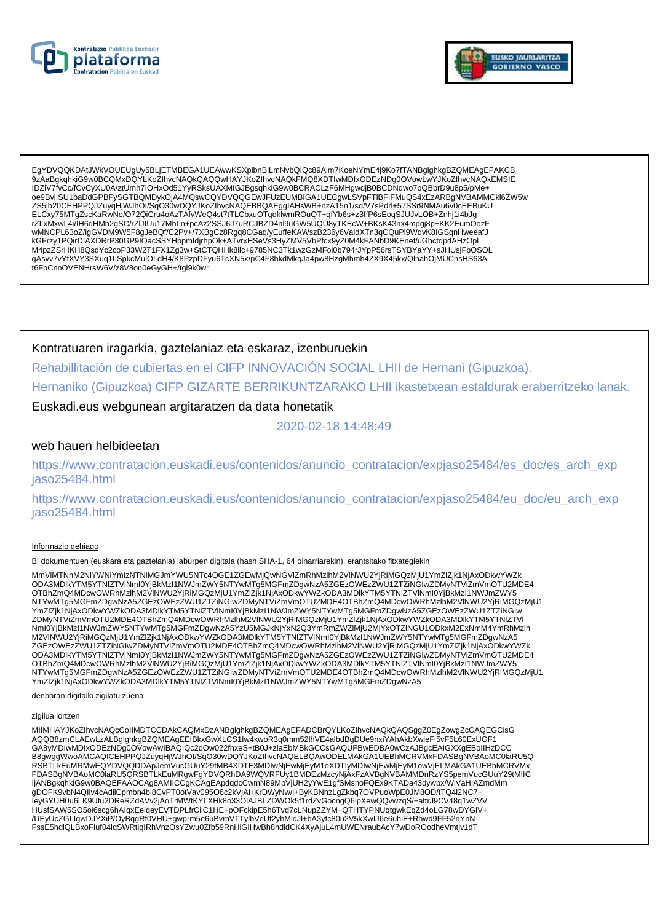



EgYDVQQKDAtJWkVOUEUgUv5BLiETMBEGA1UEAwwKSXplbnBlLmNvbQlQc89Alm7KoeNYmE4i9Ko7fTANBglghkgBZQMEAgEFAKCB 9zAaBqkqhkiG9w0BCQMxDQYLKoZIhvcNAQkQAQQwHAYJKoZIhvcNAQkFMQ8XDTIwMDIxODEzNDq0OVowLwYJKoZIhvcNAQkEMSIE IDZiV7fvCc/fCvCyXU0A/ztUmh7IOHxOd51YyRSksUAXMIGJBgsqhkiG9w0BCRACLzF6MHgwdjB0BCDNdwo7pQBbrD9u8p5/pMe+ oe9BvlISU1baDdGPBFySGTBQMDykOjA4MQswCQYDVQQGEwJFUzEUMBIGA1UECgwLSVpFTIBFIFMuQS4xEzARBgNVBAMMCkl6ZW5w ZS5jb20CEHPPQJZuyqHjWJhOl/SqO30wDQYJKoZlhvcNAQEBBQAEgglAHsWB+nzA15n1/sd/V7sPdrl+57SSr9NMAu6v0cEEBuKU ELCxy75MTgZscKaRwNe/O72QiCru4oAzTAfvWeQ4st7tTLCbxuOTqdklwmROuQT+qfYb6s+z3ffP6sEoqSJUJvLOB+Znhj1i4bJg rZLxMxwL4i/İH6qHMb2gSC/rZlJlUu17MhLn+pcAz2SSJ6J7uRCJBZD4nl9uGW5UQU8yTKEcW+BKsK43nx4mpgj8p+KK2EumOozF wMNCPL63oZ/igGVDM9W5F8gJeBQf/C2Pv+/7XBgCz8Rgq8CGaq/yEuffeKAWszB236y6ValdXTn3qCQuPl9WqvK8IGSqnHweeafJ www.co.using.com/systems/systems/systems/systems/systems/systems/systems/systems/systems/systems/systems/systems/<br>M4pzZSrHKH8QsdYc2coP33W2T1FX1Zg3w+StCTQHHk8ilc+9785NC3Tk1wzGzMF0i0b794rJYpP56rsTSYBYaYY+sJHUsjFpOSOL qAsvv7vYfXVY3SXuq1LSpkcMulOLdH4/K8PzpDFyu6TcXN5x/pC4F8hkdMkqJa4pw8HzgMhmh4ZX9X45kx/QlhahOjMUCnsHS63A t6FbCnnOVENHrsW6V/z8V8on0eGyGH+/tgl9k0w=

### Kontratuaren iragarkia, gaztelaniaz eta eskaraz, izenburuekin

Rehabillitación de cubiertas en el CIFP INNOVACIÓN SOCIAL LHII de Hernani (Gipuzkoa).

Hernaniko (Gipuzkoa) CIFP GIZARTE BERRIKUNTZARAKO LHII ikastetxean estaldurak eraberritzeko lanak.

Euskadi.eus webgunean argitaratzen da data honetatik

2020-02-18 14:48:49

### web hauen helbideetan

https://www.contratacion.euskadi.eus/contenidos/anuncio\_contratacion/expjaso25484/es\_doc/es\_arch\_exp jaso25484.html

https://www.contratacion.euskadi.eus/contenidos/anuncio\_contratacion/expjaso25484/eu\_doc/eu\_arch\_exp iaso25484.html

#### Informazio gehiago

Bi dokumentuen (euskara eta gaztelania) laburpen digitala (hash SHA-1, 64 oinarriarekin), erantsitako fitxategiekin

MmViMTNhM2NIYWNiYmIzNTNIMGJmYWU5NTc4OGE1ZGEwMjQwNGVIZmRhMzlhM2VINWU2YjRiMGQzMjU1YmZIZjk1NjAxODkwYWZk ODA3MDlkYTM5YTNIZTVINml0YjBkMzI1NWJmZWY5NTYwMTg5MGFmZDgwNzA5ZGEzOWEzZWU1ZTZiNGIwZDMyNTViZmVmOTU2MDE4 OTBhZmQ4MDcwOWRhMzlhM2VINWU2YjRiMGQzMjU1YmZlZjK1NjAxODkwYWZkODA3MDlkYTM5YTNIZTVINmI0YjBkMzl1NWJmZWY5 NTYwMTg5MGFmZDgwNzA5ZGEzOWEzZWU1ZTZiŃGIwZDMyNTViZmVmOTU2MDE4OTBhZmQ4MDcwOWRhMzIńM2VINWU2YjRiMGQzMjU1 YmZlZjk1NjAxODkwYWZkODA3MDlkYTM5YTNlZTVlNml0YjBkMzl1NWJmZWY5NTYwMTg5MGFmZDgwNzA5ZGEzOWEzZWU1ZTZiNGlw ZDMyNTViZmVmOTU2MDE4OTBhZmQ4MDcwOWRhMzIhM2VINWU2YjRiMGQzMjU1YmZlZjk1NjAxODkwYWZKODA3MDIkYTM5YTNIZTVI<br>NmI0YjBkMzI1NWJmZWY5NTYwMTg5MGFmZDgwNzA5YzU5MGJkNjYxN2Q3YmRmZWZIMjU2MjYxOTZINGU1ODkxM2ExNmM4YmRhMzIh<br>M2VINWU2YjRiMGQzMjU1 ZGEZOWEZZWU1ZTZINGIWZDMyNTViZmVmOTU2MDE4OTBhZmQ4MDcwOWRhMzIhM2VINWU2YjRiMGQzMjU1YmZlZik1NjAxODkwYWZk ODA3MDIkYTM5YTNIZTVINmI0YjBkMzI1NWJmZWY5NTYwMTg5MGFmZDgwNzA5ZGEzOWEzZWU1ZTZiNGIwZDMyNTViZmVmOTU2MDE4 OTBhZmQ4MDcwOWRhMzlhM2VINWU2YjRiMGQzMjU1YmZlZjk1NjAxODkwYWZkODA3MDlkYTM5YTNIZTVINmI0YjBkMzI1NWJmZWY5 NTYwMTg5MGFmZDgwNzA5ZGEzOWEzZWU1ZTZiŃGIwZDMyNTViZmVmOTU2MDE4OTBhZmQ4MDcwOWRhMzIńM2VINWU2YjRiMGQzMjU1 YmZlZjk1NjAxODkwYWZkODA3MDlkYTM5YTNlZTVINml0YjBkMzl1NWJmZWY5NTYwMTg5MGFmZDgwNzA5

denboran digitalki zigilatu zuena

#### zigilua lortzen

MIIMHAYJKoZIhvcNAQcCoIIMDTCCDAkCAQMxDzANBglghkgBZQMEAgEFADCBrQYLKoZIhvcNAQkQAQSggZ0EgZowgZcCAQEGCisG AQQB8zmCLAEwLzALBglghkgBZQMEAgEEIBkxGwXLCS1Iw4kwoR3q0mm52lhVE4albdBgDUe9nxiYAhAkbXwleFi5vF5L60ExUOF1<br>GA8yMDIwMDIxODEzNDg0OVowAwIBAQIQc2dOw022fhxeS+tB0J+zlaEbMBkGCCsGAQUFBwEDBA0wCzAJBgcEAIGXXgEBoIIHzDCC B8gwggWwoAMCAQICEHPPQJZuyqHjWJhOI/SqO30wDQYJKoZIhvcNAQELBQAwODELMAkGA1UEBhMCRVMxFDASBgNVBAoMC0laRU5Q RSBTLKEuMRMwEQYDVQQDDApJemVucGUuY29tMB4XDTE3MDIwNjEwMjEyM1oXDTIyMDIwNjEwMjEyM1owVjELMAkGA1UEBhMCRVMx FDASBgNVBAoMC0laRU5QRSBTLkEuMRgwFgYDVQRhDA9WQVRFUy1BMDEzMzcyNjAxFzAVBgNVBAMMDnRzYS5pemVucGUuY29tMIIC IjANBgkqhkiG9w0BAQEFAAOCAg8AMIICCgKCAgEApdqdcCwmN89MpVjUH2yYwE1gfSMsnoFQEx9KTADa43dywbx/WiVaHIAZmdMm gDOFK9vbN4Qliv4cAdilCpmbn4bi8CvPT0otVav095O6c2kVjAHKrDWyNw/i+ByKBNnzLgZkbq7OVPuoWpE0JM8OD/tTQ4l2NC7+ leyGYUH0u6LK9Ufu2DReRZdAVv2jAoTrMWtKYLXHk8o33OIAJBLZDWOk5f1rdZvGocngQ6ipXewQQvwzqS/+attrJ9CV48q1wZVV HUsfSAW5SO5oi6scg6hAlqxEeiqeyEVTDPLfrCiiC1HE+pOFckipE5h6Tvd7cLNupZZYM+QTHTYPNUqtgwkEqZd4oLG78wDYGIV+<br>/UEyUcZGLIgwDJYXiP/OyBqgRf0VHU+gwprm5e6uBvmVTTylhVeUf2yhMldJl+bA3yfc80u2V5kXwlJ6e6uhiE+Rhwd9FF52nYnN FssE5hdlQLBxoFluf04lqSWRtiqIRhVnzOsYZwu0Zfb59RnHiGIHwBh8hdldCK4XyAjuL4mUWENraubAcY7wDoROodheVmtjv1dT